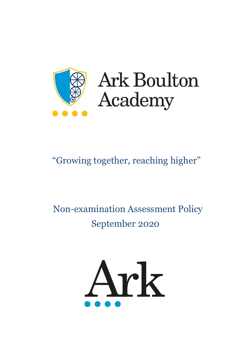

# **Ark Boulton** Academy

# "Growing together, reaching higher"

# Non-examination Assessment Policy September 2020

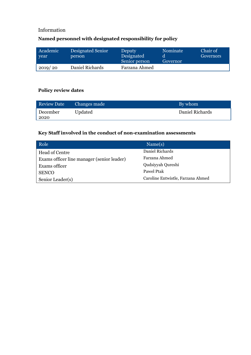# Information

# **Named personnel with designated responsibility for policy**

| Academic<br>year | Designated Senior<br>person | <b>Deputy</b><br>Designated<br>Senior person | Nominate<br>Governor | Chair of<br>Governors |
|------------------|-----------------------------|----------------------------------------------|----------------------|-----------------------|
| 2019/20          | Daniel Richards             | Farzana Ahmed                                |                      |                       |

#### **Policy review dates**

| <b>Review Date</b> | Changes made | By whom         |
|--------------------|--------------|-----------------|
| December<br>2020   | Updated      | Daniel Richards |

# **Key Staff involved in the conduct of non-examination assessments**

| Role                                       | $\text{Name(s)}$                  |
|--------------------------------------------|-----------------------------------|
| Head of Centre                             | Daniel Richards                   |
| Exams officer line manager (senior leader) | Farzana Ahmed                     |
| Exams officer                              | Qudsiyyah Qureshi                 |
| <b>SENCO</b>                               | Pawel Ptak                        |
| Senior Leader(s)                           | Caroline Entwistle, Farzana Ahmed |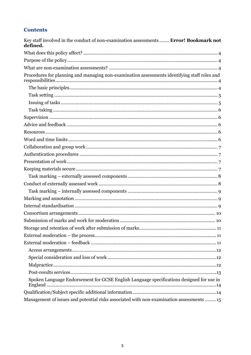# **Contents**

| Key staff involved in the conduct of non-examination assessments  Error! Bookmark not<br>defined. |
|---------------------------------------------------------------------------------------------------|
|                                                                                                   |
|                                                                                                   |
|                                                                                                   |
| Procedures for planning and managing non-examination assessments identifying staff roles and      |
|                                                                                                   |
|                                                                                                   |
|                                                                                                   |
|                                                                                                   |
|                                                                                                   |
|                                                                                                   |
|                                                                                                   |
|                                                                                                   |
|                                                                                                   |
|                                                                                                   |
|                                                                                                   |
|                                                                                                   |
|                                                                                                   |
|                                                                                                   |
|                                                                                                   |
|                                                                                                   |
|                                                                                                   |
|                                                                                                   |
|                                                                                                   |
|                                                                                                   |
|                                                                                                   |
|                                                                                                   |
|                                                                                                   |
|                                                                                                   |
|                                                                                                   |
|                                                                                                   |
| Spoken Language Endorsement for GCSE English Language specifications designed for use in          |
|                                                                                                   |
| Management of issues and potential risks associated with non-examination assessments 15           |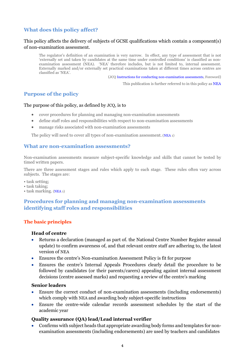# <span id="page-3-0"></span>**What does this policy affect?**

#### This policy affects the delivery of subjects of GCSE qualifications which contain a component(s) of non-examination assessment.

The regulator's definition of an examination is very narrow. In effect, any type of assessment that is not 'externally set and taken by candidates at the same time under controlled conditions' is classified as nonexamination assessment (NEA). 'NEA' therefore includes, but is not limited to, internal assessment. Externally marked and/or externally set practical examinations taken at different times across centres are classified as 'NEA'.

(JCQ [Instructions for conducting non-examination assessments](http://www.jcq.org.uk/exams-office/non-examination-assessments)*,* Foreword)

This publication is further referred to in this policy a[s NEA](http://www.jcq.org.uk/exams-office/non-examination-assessments)

#### <span id="page-3-1"></span>**Purpose of the policy**

#### The purpose of this policy, as defined by JCQ, is to

- cover procedures for planning and managing non-examination assessments
- define staff roles and responsibilities with respect to non-examination assessments
- manage risks associated with non-examination assessments

The policy will need to cover all types of non-examination assessment. [\(NEA](http://www.jcq.org.uk/exams-office/non-examination-assessments) 1)

#### <span id="page-3-2"></span>**What are non-examination assessments?**

Non-examination assessments measure subject-specific knowledge and skills that cannot be tested by timed written papers.

There are three assessment stages and rules which apply to each stage. These rules often vary across subjects. The stages are:

- task setting;
- task taking;
- <span id="page-3-3"></span>• task marking. [\(NEA](http://www.jcq.org.uk/exams-office/non-examination-assessments) 1)

#### **Procedures for planning and managing non-examination assessments identifying staff roles and responsibilities**

#### <span id="page-3-4"></span>**The basic principles**

#### **Head of centre**

- Returns a declaration (managed as part of. the National Centre Number Register annual update) to confirm awareness of, and that relevant centre staff are adhering to, the latest version of [NEA](http://www.jcq.org.uk/exams-office/non-examination-assessments)
- Ensures the centre's Non-examination Assessment Policy is fit for purpose
- Ensures the centre's Internal Appeals Procedures clearly detail the procedure to be followed by candidates (or their parents/carers) appealing against internal assessment decisions (centre assessed marks) and requesting a review of the centre's marking

#### **Senior leaders**

- Ensure the correct conduct of non-examination assessments (including endorsements) which comply with [NEA](http://www.jcq.org.uk/exams-office/non-examination-assessments) and awarding body subject-specific instructions
- Ensure the centre-wide calendar records assessment schedules by the start of the academic year

#### **Quality assurance (QA) lead/Lead internal verifier**

• Confirms with subject heads that appropriate awarding body forms and templates for nonexamination assessments (including endorsements) are used by teachers and candidates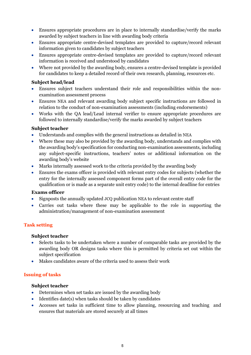- Ensures appropriate procedures are in place to internally standardise/verify the marks awarded by subject teachers in line with awarding body criteria
- Ensures appropriate centre-devised templates are provided to capture/record relevant information given to candidates by subject teachers
- Ensures appropriate centre-devised templates are provided to capture/record relevant information is received and understood by candidates
- Where not provided by the awarding body, ensures a centre-devised template is provided for candidates to keep a detailed record of their own research, planning, resources etc.

#### **Subject head/lead**

- Ensures subject teachers understand their role and responsibilities within the nonexamination assessment process
- Ensures [NEA](http://www.jcq.org.uk/exams-office/non-examination-assessments) and relevant awarding body subject specific instructions are followed in relation to the conduct of non-examination assessments (including endorsements)
- Works with the QA lead/Lead internal verifier to ensure appropriate procedures are followed to internally standardise/verify the marks awarded by subject teachers

#### **Subject teacher**

- Understands and complies with the general instructions as detailed in [NEA](http://www.jcq.org.uk/exams-office/non-examination-assessments)
- Where these may also be provided by the awarding body, understands and complies with the awarding body's specification for conducting non-examination assessments, including any subject-specific instructions, teachers' notes or additional information on the awarding body's website
- Marks internally assessed work to the criteria provided by the awarding body
- Ensures the exams officer is provided with relevant entry codes for subjects (whether the entry for the internally assessed component forms part of the overall entry code for the qualification or is made as a separate unit entry code) to the internal deadline for entries

#### **Exams officer**

- Signposts the annually updated JCQ publication [NEA](http://www.jcq.org.uk/exams-office/non-examination-assessments) to relevant centre staff
- Carries out tasks where these may be applicable to the role in supporting the administration/management of non-examination assessment

#### <span id="page-4-0"></span>**Task setting**

#### **Subject teacher**

- Selects tasks to be undertaken where a number of comparable tasks are provided by the awarding body OR designs tasks where this is permitted by criteria set out within the subject specification
- Makes candidates aware of the criteria used to assess their work

#### <span id="page-4-1"></span>**Issuing of tasks**

#### **Subject teacher**

- Determines when set tasks are issued by the awarding body
- Identifies date(s) when tasks should be taken by candidates
- Accesses set tasks in sufficient time to allow planning, resourcing and teaching and ensures that materials are stored securely at all times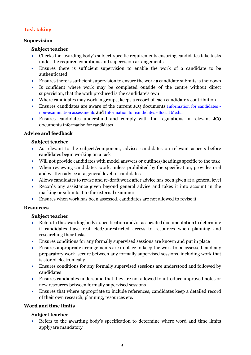# <span id="page-5-0"></span>**Task taking**

#### <span id="page-5-1"></span>**Supervision**

#### **Subject teacher**

- Checks the awarding body's subject-specific requirements ensuring candidates take tasks under the required conditions and supervision arrangements
- Ensures there is sufficient supervision to enable the work of a candidate to be authenticated
- Ensures there is sufficient supervision to ensure the work a candidate submits is their own
- Is confident where work may be completed outside of the centre without direct supervision, that the work produced is the candidate's own
- Where candidates may work in groups, keeps a record of each candidate's contribution
- Ensures candidates are aware of the current JCQ documents [Information for candidates](http://www.jcq.org.uk/exams-office/information-for-candidates-documents)  [non-examination assessments](http://www.jcq.org.uk/exams-office/information-for-candidates-documents) and [Information for candidates -](http://www.jcq.org.uk/exams-office/information-for-candidates-documents) Social Media
- Ensures candidates understand and comply with the regulations in relevant JCQ documents Information for candidates

#### <span id="page-5-2"></span>**Advice and feedback**

#### **Subject teacher**

- As relevant to the subject/component, advises candidates on relevant aspects before candidates begin working on a task
- Will not provide candidates with model answers or outlines/headings specific to the task
- When reviewing candidates' work, unless prohibited by the specification, provides oral and written advice at a general level to candidates
- Allows candidates to revise and re-draft work after advice has been given at a general level
- Records any assistance given beyond general advice and takes it into account in the marking or submits it to the external examiner
- Ensures when work has been assessed, candidates are not allowed to revise it

#### <span id="page-5-3"></span>**Resources**

#### **Subject teacher**

- Refers to the awarding body's specification and/or associated documentation to determine if candidates have restricted/unrestricted access to resources when planning and researching their tasks
- Ensures conditions for any formally supervised sessions are known and put in place
- Ensures appropriate arrangements are in place to keep the work to be assessed, and any preparatory work, secure between any formally supervised sessions, including work that is stored electronically
- Ensures conditions for any formally supervised sessions are understood and followed by candidates
- Ensures candidates understand that they are not allowed to introduce improved notes or new resources between formally supervised sessions
- Ensures that where appropriate to include references, candidates keep a detailed record of their own research, planning, resources etc.

## <span id="page-5-4"></span>**Word and time limits**

#### **Subject teacher**

• Refers to the awarding body's specification to determine where word and time limits apply/are mandatory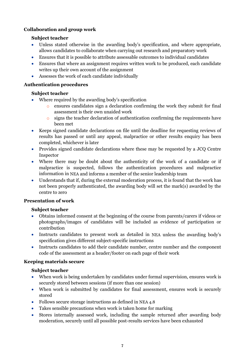## <span id="page-6-0"></span>**Collaboration and group work**

#### **Subject teacher**

- Unless stated otherwise in the awarding body's specification, and where appropriate, allows candidates to collaborate when carrying out research and preparatory work
- Ensures that it is possible to attribute assessable outcomes to individual candidates
- Ensures that where an assignment requires written work to be produced, each candidate writes up their own account of the assignment
- Assesses the work of each candidate individually

#### <span id="page-6-1"></span>**Authentication procedures**

#### **Subject teacher**

- Where required by the awarding body's specification
	- o ensures candidates sign a declaration confirming the work they submit for final assessment is their own unaided work
	- $\circ$  signs the teacher declaration of authentication confirming the requirements have been met
- Keeps signed candidate declarations on file until the deadline for requesting reviews of results has passed or until any appeal, malpractice or other results enquiry has been completed, whichever is later
- Provides signed candidate declarations where these may be requested by a JCQ Centre Inspector
- Where there may be doubt about the authenticity of the work of a candidate or if malpractice is suspected, follows the authentication procedures and malpractice information in [NEA](http://www.jcq.org.uk/exams-office/non-examination-assessments) and informs a member of the senior leadership team
- Understands that if, during the external moderation process, it is found that the work has not been properly authenticated, the awarding body will set the mark(s) awarded by the centre to zero

#### <span id="page-6-2"></span>**Presentation of work**

#### **Subject teacher**

- Obtains informed consent at the beginning of the course from parents/carers if videos or photographs/images of candidates will be included as evidence of participation or contribution
- Instructs candidates to present work as detailed in [NEA](http://www.jcq.org.uk/exams-office/non-examination-assessments) unless the awarding body's specification gives different subject-specific instructions
- Instructs candidates to add their candidate number, centre number and the component code of the assessment as a header/footer on each page of their work

#### <span id="page-6-3"></span>**Keeping materials secure**

#### **Subject teacher**

- When work is being undertaken by candidates under formal supervision, ensures work is securely stored between sessions (if more than one session)
- When work is submitted by candidates for final assessment, ensures work is securely stored
- Follows secure storage instructions as defined in [NEA](http://www.jcq.org.uk/exams-office/non-examination-assessments) 4.8
- Takes sensible precautions when work is taken home for marking
- Stores internally assessed work, including the sample returned after awarding body moderation, securely until all possible post-results services have been exhausted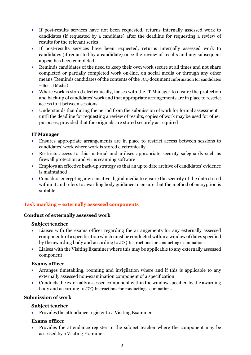- If post-results services have not been requested, returns internally assessed work to candidates (if requested by a candidate) after the deadline for requesting a review of results for the relevant series
- If post-results services have been requested, returns internally assessed work to candidates (if requested by a candidate) once the review of results and any subsequent appeal has been completed
- Reminds candidates of the need to keep their own work secure at all times and not share completed or partially completed work on-line, on social media or through any other means (Reminds candidates of the contents of the JCQ document Information for candidates – Social Media)
- Where work is stored electronically, liaises with the IT Manager to ensure the protection and back-up of candidates' work and that appropriate arrangements are in place to restrict access to it between sessions
- Understands that during the period from the submission of work for formal assessment until the deadline for requesting a review of results, copies of work may be used for other purposes, provided that the originals are stored securely as required

#### **IT Manager**

- Ensures appropriate arrangements are in place to restrict access between sessions to candidates' work where work is stored electronically
- Restricts access to this material and utilises appropriate security safeguards such as firewall protection and virus scanning software
- Employs an effective back-up strategy so that an up to date archive of candidates' evidence is maintained
- Considers encrypting any sensitive digital media to ensure the security of the data stored within it and refers to awarding body guidance to ensure that the method of encryption is suitable

## <span id="page-7-0"></span>**Task marking – externally assessed components**

#### <span id="page-7-1"></span>**Conduct of externally assessed work**

#### **Subject teacher**

- Liaises with the exams officer regarding the arrangements for any externally assessed components of a specification which must be conducted within a window of dates specified by the awarding body and according to JCQ Instructions for conducting examinations
- Liaises with the Visiting Examiner where this may be applicable to any externally assessed component

#### **Exams officer**

- Arranges timetabling, rooming and invigilation where and if this is applicable to any externally assessed non-examination component of a specification
- Conducts the externally assessed component within the window specified by the awarding body and according to JCQ Instructions for conducting examinations

# **Submission of work**

#### **Subject teacher**

• Provides the attendance register to a Visiting Examiner

#### **Exams officer**

• Provides the attendance register to the subject teacher where the component may be assessed by a Visiting Examiner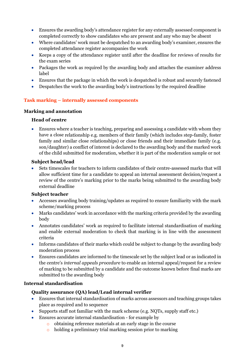- Ensures the awarding body's attendance register for any externally assessed component is completed correctly to show candidates who are present and any who may be absent
- Where candidates' work must be despatched to an awarding body's examiner, ensures the completed attendance register accompanies the work
- Keeps a copy of the attendance register until after the deadline for reviews of results for the exam series
- Packages the work as required by the awarding body and attaches the examiner address label
- Ensures that the package in which the work is despatched is robust and securely fastened
- Despatches the work to the awarding body's instructions by the required deadline

#### <span id="page-8-0"></span>**Task marking – internally assessed components**

#### <span id="page-8-1"></span>**Marking and annotation**

#### **Head of centre**

• Ensures where a teacher is teaching, preparing and assessing a candidate with whom they have a close relationship e.g. members of their family (which includes step-family, foster family and similar close relationships) or close friends and their immediate family (e.g. son/daughter) a conflict of interest is declared to the awarding body and the marked work of the child submitted for moderation, whether it is part of the moderation sample or not

#### **Subject head/lead**

• Sets timescales for teachers to inform candidates of their centre-assessed marks that will allow sufficient time for a candidate to appeal an internal assessment decision/request a review of the centre's marking prior to the marks being submitted to the awarding body external deadline

#### **Subject teacher**

- Accesses awarding body training/updates as required to ensure familiarity with the mark scheme/marking process
- Marks candidates' work in accordance with the marking criteria provided by the awarding body
- Annotates candidates' work as required to facilitate internal standardisation of marking and enable external moderation to check that marking is in line with the assessment criteria
- Informs candidates of their marks which could be subject to change by the awarding body moderation process
- Ensures candidates are informed to the timescale set by the subject lead or as indicated in the centre's *internal appeals procedure* to enable an internal appeal/request for a review of marking to be submitted by a candidate and the outcome known before final marks are submitted to the awarding body

#### <span id="page-8-2"></span>**Internal standardisation**

#### **Quality assurance (QA) lead/Lead internal verifier**

- Ensures that internal standardisation of marks across assessors and teaching groups takes place as required and to sequence
- Supports staff not familiar with the mark scheme (e.g. NQTs, supply staff etc.)
- Ensures accurate internal standardisation for example by
	- o obtaining reference materials at an early stage in the course
		- o holding a preliminary trial marking session prior to marking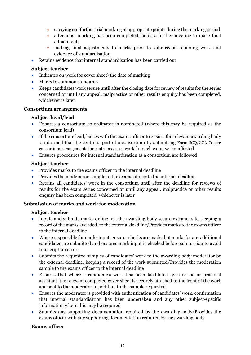- o carrying out further trial marking at appropriate points during the marking period
- o after most marking has been completed, holds a further meeting to make final adjustments
- o making final adjustments to marks prior to submission retaining work and evidence of standardisation
- Retains evidence that internal standardisation has been carried out

#### **Subject teacher**

- Indicates on work (or cover sheet) the date of marking
- Marks to common standards
- Keeps candidates work secure until after the closing date for review of results for the series concerned or until any appeal, malpractice or other results enquiry has been completed, whichever is later

#### <span id="page-9-0"></span>**Consortium arrangements**

#### **Subject head/lead**

- Ensures a consortium co-ordinator is nominated (where this may be required as the consortium lead)
- If the consortium lead, liaises with the exams officer to ensure the relevant awarding body is informed that the centre is part of a consortium by submitting Form JCQ/CCA Centre consortium arrangements for centre-assessed work for each exam series affected
- Ensures procedures for internal standardisation as a consortium are followed

#### **Subject teacher**

- Provides marks to the exams officer to the internal deadline
- Provides the moderation sample to the exams officer to the internal deadline
- Retains all candidates' work in the consortium until after the deadline for reviews of results for the exam series concerned or until any appeal, malpractice or other results enquiry has been completed, whichever is later

#### <span id="page-9-1"></span>**Submission of marks and work for moderation**

#### **Subject teacher**

- Inputs and submits marks online, via the awarding body secure extranet site, keeping a record of the marks awarded, to the external deadline/Provides marks to the exams officer to the internal deadline
- Where responsible for marks input, ensures checks are made that marks for any additional candidates are submitted and ensures mark input is checked before submission to avoid transcription errors
- Submits the requested samples of candidates' work to the awarding body moderator by the external deadline, keeping a record of the work submitted/Provides the moderation sample to the exams officer to the internal deadline
- Ensures that where a candidate's work has been facilitated by a scribe or practical assistant, the relevant completed cover sheet is securely attached to the front of the work and sent to the moderator in addition to the sample requested
- Ensures the moderator is provided with authentication of candidates' work, confirmation that internal standardisation has been undertaken and any other subject-specific information where this may be required
- Submits any supporting documentation required by the awarding body/Provides the exams officer with any supporting documentation required by the awarding body

#### **Exams officer**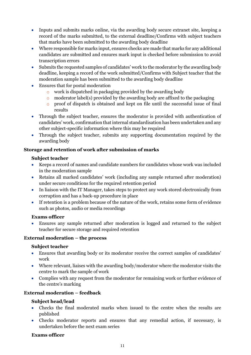- Inputs and submits marks online, via the awarding body secure extranet site, keeping a record of the marks submitted, to the external deadline/Confirms with subject teachers that marks have been submitted to the awarding body deadline
- Where responsible for marks input, ensures checks are made that marks for any additional candidates are submitted and ensures mark input is checked before submission to avoid transcription errors
- Submits the requested samples of candidates' work to the moderator by the awarding body deadline, keeping a record of the work submitted/Confirms with Subject teacher that the moderation sample has been submitted to the awarding body deadline
- Ensures that for postal moderation
	- o work is dispatched in packaging provided by the awarding body
	- $\circ$  moderator label(s) provided by the awarding body are affixed to the packaging
	- o proof of dispatch is obtained and kept on file until the successful issue of final results
- Through the subject teacher, ensures the moderator is provided with authentication of candidates' work, confirmation that internal standardisation has been undertaken and any other subject-specific information where this may be required
- Through the subject teacher, submits any supporting documentation required by the awarding body

#### <span id="page-10-0"></span>**Storage and retention of work after submission of marks**

#### **Subject teacher**

- Keeps a record of names and candidate numbers for candidates whose work was included in the moderation sample
- Retains all marked candidates' work (including any sample returned after moderation) under secure conditions for the required retention period
- In liaison with the IT Manager, takes steps to protect any work stored electronically from corruption and has a back-up procedure in place
- If retention is a problem because of the nature of the work, retains some form of evidence such as photos, audio or media recordings

#### **Exams officer**

• Ensures any sample returned after moderation is logged and returned to the subject teacher for secure storage and required retention

#### <span id="page-10-1"></span>**External moderation – the process**

#### **Subject teacher**

- Ensures that awarding body or its moderator receive the correct samples of candidates' work
- Where relevant, liaises with the awarding body/moderator where the moderator visits the centre to mark the sample of work
- Complies with any request from the moderator for remaining work or further evidence of the centre's marking

#### <span id="page-10-2"></span>**External moderation – feedback**

#### **Subject head/lead**

- Checks the final moderated marks when issued to the centre when the results are published
- Checks moderator reports and ensures that any remedial action, if necessary, is undertaken before the next exam series

#### **Exams officer**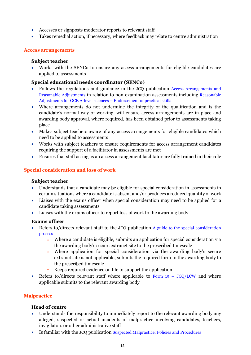- Accesses or signposts moderator reports to relevant staff
- Takes remedial action, if necessary, where feedback may relate to centre administration

#### <span id="page-11-0"></span>**Access arrangements**

#### **Subject teacher**

• Works with the SENCo to ensure any access arrangements for eligible candidates are applied to assessments

#### **Special educational needs coordinator (SENCo)**

- Follows the regulations and guidance in the JCQ publication [Access Arrangements and](http://www.jcq.org.uk/exams-office/access-arrangements-and-special-consideration)  [Reasonable Adjustments](http://www.jcq.org.uk/exams-office/access-arrangements-and-special-consideration) in relation to non-examination assessments including [Reasonable](https://www.jcq.org.uk/exams-office/access-arrangements-and-special-consideration/regulations-and-guidance)  [Adjustments for GCE A-level sciences –](https://www.jcq.org.uk/exams-office/access-arrangements-and-special-consideration/regulations-and-guidance) Endorsement of practical skills
- Where arrangements do not undermine the integrity of the qualification and is the candidate's normal way of working, will ensure access arrangements are in place and awarding body approval, where required, has been obtained prior to assessments taking place
- Makes subject teachers aware of any access arrangements for eligible candidates which need to be applied to assessments
- Works with subject teachers to ensure requirements for access arrangement candidates requiring the support of a facilitator in assessments are met
- Ensures that staff acting as an access arrangement facilitator are fully trained in their role

#### <span id="page-11-1"></span>**Special consideration and loss of work**

#### **Subject teacher**

- Understands that a candidate may be eligible for special consideration in assessments in certain situations where a candidate is absent and/or produces a reduced quantity of work
- Liaises with the exams officer when special consideration may need to be applied for a candidate taking assessments
- Liaises with the exams officer to report loss of work to the awarding body

#### **Exams officer**

- Refers to/directs relevant staff to the JCQ publication A guide to the special consideration [process](http://www.jcq.org.uk/exams-office/access-arrangements-and-special-consideration) 
	- o Where a candidate is eligible, submits an application for special consideration via the awarding body's secure extranet site to the prescribed timescale
	- o Where application for special consideration via the awarding body's secure extranet site is not applicable, submits the required form to the awarding body to the prescribed timescale
	- o Keeps required evidence on file to support the application
- Refers to/directs relevant staff where applicable to Form  $15 JCQ/LCW$  and where applicable submits to the relevant awarding body

#### <span id="page-11-2"></span>**Malpractice**

#### **Head of centre**

- Understands the responsibility to immediately report to the relevant awarding body any alleged, suspected or actual incidents of malpractice involving candidates, teachers, invigilators or other administrative staff
- Is familiar with the JCQ publication [Suspected Malpractice: Policies and Procedures](http://www.jcq.org.uk/exams-office/malpractice)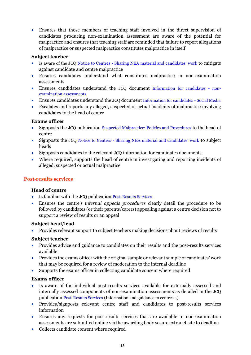• Ensures that those members of teaching staff involved in the direct supervision of candidates producing non-examination assessment are aware of the potential for malpractice and ensures that teaching staff are reminded that failure to report allegations of malpractice or suspected malpractice constitutes malpractice in itself

#### **Subject teacher**

- Is aware of the JCQ Notice to Centres [Sharing NEA material and candidates' work](http://www.jcq.org.uk/exams-office/non-examination-assessments) to mitigate against candidate and centre malpractice
- Ensures candidates understand what constitutes malpractice in non-examination assessments
- Ensures candidates understand the JCQ document [Information for candidates -](http://www.jcq.org.uk/exams-office/information-for-candidates-documents) non[examination assessments](http://www.jcq.org.uk/exams-office/information-for-candidates-documents)
- Ensures candidates understand the JCQ document [Information for candidates -](http://www.jcq.org.uk/exams-office/information-for-candidates-documents) Social Media
- Escalates and reports any alleged, suspected or actual incidents of malpractice involving candidates to the head of centre

#### **Exams officer**

- Signposts the JCQ publication [Suspected Malpractice: Policies and Procedures](http://www.jcq.org.uk/exams-office/malpractice) to the head of centre
- Signposts the JCQ Notice to Centres [Sharing NEA material and candidates' work](http://www.jcq.org.uk/exams-office/non-examination-assessments) to subject heads
- Signposts candidates to the relevant JCQ information for candidates documents
- Where required, supports the head of centre in investigating and reporting incidents of alleged, suspected or actual malpractice

#### <span id="page-12-0"></span>**Post-results services**

#### **Head of centre**

- Is familiar with the JCQ publication [Post-Results Services](https://www.jcq.org.uk/exams-office/post-results-services)
- Ensures the centre's *internal appeals procedures* clearly detail the procedure to be followed by candidates (or their parents/carers) appealing against a centre decision not to support a review of results or an appeal

#### **Subject head/lead**

• Provides relevant support to subject teachers making decisions about reviews of results

#### **Subject teacher**

- Provides advice and guidance to candidates on their results and the post-results services available
- Provides the exams officer with the original sample or relevant sample of candidates' work that may be required for a review of moderation to the internal deadline
- Supports the exams officer in collecting candidate consent where required

#### **Exams officer**

- Is aware of the individual post-results services available for externally assessed and internally assessed components of non-examination assessments as detailed in the JCQ publication [Post-Results Services](https://www.jcq.org.uk/exams-office/post-results-services) (Information and guidance to centres...)
- Provides/signposts relevant centre staff and candidates to post-results services information
- Ensures any requests for post-results services that are available to non-examination assessments are submitted online via the awarding body secure extranet site to deadline
- Collects candidate consent where required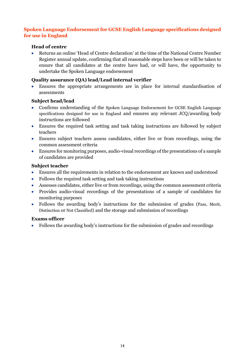#### <span id="page-13-0"></span>**Spoken Language Endorsement for GCSE English Language specifications designed for use in England**

#### **Head of centre**

• Returns an online 'Head of Centre declaration' at the time of the National Centre Number Register annual update, confirming that all reasonable steps have been or will be taken to ensure that all candidates at the centre have had, or will have, the opportunity to undertake the Spoken Language endorsement

#### **Quality assurance (QA) lead/Lead internal verifier**

• Ensures the appropriate arrangements are in place for internal standardisation of assessments

#### **Subject head/lead**

- Confirms understanding of the Spoken Language Endorsement for GCSE English Language specifications designed for use in England and ensures any relevant JCQ/awarding body instructions are followed
- Ensures the required task setting and task taking instructions are followed by subject teachers
- Ensures subject teachers assess candidates, either live or from recordings, using the common assessment criteria
- Ensures for monitoring purposes, audio-visual recordings of the presentations of a sample of candidates are provided

#### **Subject teacher**

- Ensures all the requirements in relation to the endorsement are known and understood
- Follows the required task setting and task taking instructions
- Assesses candidates, either live or from recordings, using the common assessment criteria
- Provides audio-visual recordings of the presentations of a sample of candidates for monitoring purposes
- Follows the awarding body's instructions for the submission of grades (Pass, Merit, Distinction or Not Classified) and the storage and submission of recordings

#### **Exams officer**

<span id="page-13-1"></span>• Follows the awarding body's instructions for the submission of grades and recordings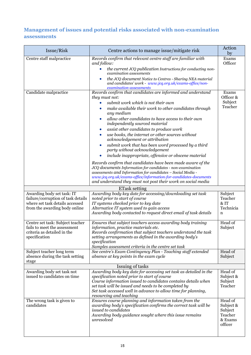# <span id="page-14-0"></span>**Management of issues and potential risks associated with non-examination assessments**

| Issue/Risk                                                       | Centre actions to manage issue/mitigate risk                                                                                                                                             | Action<br>by         |  |
|------------------------------------------------------------------|------------------------------------------------------------------------------------------------------------------------------------------------------------------------------------------|----------------------|--|
| Centre staff malpractice                                         | Records confirm that relevant centre staff are familiar with<br>and follow:<br>the current JCQ publication Instructions for conducting non-<br>$\bullet$                                 | Exams<br>Officer     |  |
|                                                                  | examination assessments<br>the JCQ document Notice to Centres - Sharing NEA material<br>$\bullet$                                                                                        |                      |  |
|                                                                  | and candidates' work - www.jcq.org.uk/exams-office/non-<br>examination-assessments                                                                                                       |                      |  |
| Candidate malpractice                                            | Records confirm that candidates are informed and understand<br>they must not:                                                                                                            | Exams<br>Officer &   |  |
|                                                                  | submit work which is not their own<br>make available their work to other candidates through                                                                                              | Subject<br>Teacher   |  |
|                                                                  | any medium<br>allow other candidates to have access to their own<br>independently sourced material                                                                                       |                      |  |
|                                                                  | assist other candidates to produce work                                                                                                                                                  |                      |  |
|                                                                  | use books, the internet or other sources without<br>acknowledgement or attribution                                                                                                       |                      |  |
|                                                                  | submit work that has been word processed by a third<br>$\bullet$<br>party without acknowledgement                                                                                        |                      |  |
|                                                                  | include inappropriate, offensive or obscene material                                                                                                                                     |                      |  |
|                                                                  | Records confirm that candidates have been made aware of the<br>JCQ documents Information for candidates - non-examination<br>assessments and Information for candidates - Social Media - |                      |  |
|                                                                  | www.jcq.org.uk/exams-office/information-for-candidates-documents                                                                                                                         |                      |  |
|                                                                  | and understand they must not post their work on social media<br><b>ETask setting</b>                                                                                                     |                      |  |
| Awarding body set task: IT                                       | Awarding body key date for accessing/downloading set task                                                                                                                                | Subject              |  |
| failure/corruption of task details                               | noted prior to start of course                                                                                                                                                           | Teacher              |  |
| where set task details accessed                                  | IT systems checked prior to key date                                                                                                                                                     | & IT                 |  |
| from the awarding body online                                    | Alternative IT system used to gain access<br>Awarding body contacted to request direct email of task details                                                                             | Technicia<br>n       |  |
|                                                                  |                                                                                                                                                                                          |                      |  |
| Centre set task: Subject teacher<br>fails to meet the assessment | Ensures that subject teachers access awarding body training                                                                                                                              | Head of              |  |
| criteria as detailed in the                                      | information, practice materials etc.<br>Records confirmation that subject teachers understand the task                                                                                   | Subject              |  |
| specification                                                    | setting arrangements as defined in the awarding body's                                                                                                                                   |                      |  |
|                                                                  | specification                                                                                                                                                                            |                      |  |
| Subject teacher long term                                        | Samples assessment criteria in the centre set task<br>See centre's Exam Contingency Plan - Teaching staff extended                                                                       | Head of              |  |
| absence during the task setting<br>stage                         | absence at key points in the exam cycle                                                                                                                                                  | Subject              |  |
| Issuing of tasks                                                 |                                                                                                                                                                                          |                      |  |
| Awarding body set task not                                       | Awarding body key date for accessing set task as detailed in the                                                                                                                         | Head of              |  |
| issued to candidates on time                                     | specification noted prior to start of course<br>Course information issued to candidates contains details when                                                                            | Subject &<br>Subject |  |
|                                                                  | set task will be issued and needs to be completed by                                                                                                                                     | Teacher              |  |
|                                                                  | Set task accessed well in advance to allow time for planning,                                                                                                                            |                      |  |
|                                                                  | resourcing and teaching                                                                                                                                                                  |                      |  |
| The wrong task is given to<br>candidates                         | Ensures course planning and information taken from the<br>awarding body's specification confirms the correct task will be                                                                | Head of<br>Subject & |  |
|                                                                  | issued to candidates                                                                                                                                                                     | Subject              |  |
|                                                                  | Awarding body guidance sought where this issue remains                                                                                                                                   | Teacher              |  |
|                                                                  | unresolved                                                                                                                                                                               | & Exams              |  |
|                                                                  |                                                                                                                                                                                          | officer              |  |
|                                                                  |                                                                                                                                                                                          |                      |  |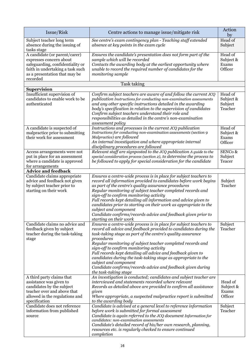| Issue/Risk                                                                                                                                                                    | Centre actions to manage issue/mitigate risk                                                                                                                                                                                                                                                                                                                                                                                                                                                                                                                                   | Action<br>by                                            |
|-------------------------------------------------------------------------------------------------------------------------------------------------------------------------------|--------------------------------------------------------------------------------------------------------------------------------------------------------------------------------------------------------------------------------------------------------------------------------------------------------------------------------------------------------------------------------------------------------------------------------------------------------------------------------------------------------------------------------------------------------------------------------|---------------------------------------------------------|
| Subject teacher long term<br>absence during the issuing of<br>tasks stage                                                                                                     | See centre's exam contingency plan - Teaching staff extended<br>absence at key points in the exam cycle                                                                                                                                                                                                                                                                                                                                                                                                                                                                        | Head of<br>Subject                                      |
| A candidate (or parent/carer)<br>expresses concern about<br>safeguarding, confidentiality or<br>faith in undertaking a task such<br>as a presentation that may be<br>recorded | Ensures the candidate's presentation does not form part of the<br>sample which will be recorded<br>Contacts the awarding body at the earliest opportunity where<br>unable to record the required number of candidates for the<br>monitoring sample                                                                                                                                                                                                                                                                                                                             | Head of<br>Subject &<br>Exams<br>Officer                |
| Supervision                                                                                                                                                                   | Task taking                                                                                                                                                                                                                                                                                                                                                                                                                                                                                                                                                                    |                                                         |
| Insufficient supervision of<br>candidates to enable work to be<br>authenticated                                                                                               | Confirm subject teachers are aware of and follow the current JCQ<br>publication Instructions for conducting non-examination assessments<br>and any other specific instructions detailed in the awarding<br>body's specification in relation to the supervision of candidates<br>Confirm subject teachers understand their role and<br>responsibilities as detailed in the centre's non-examination<br>assessment policy                                                                                                                                                        | Head $\overline{of}$<br>Subject &<br>Subject<br>Teacher |
| A candidate is suspected of<br>malpractice prior to submitting<br>their work for assessment                                                                                   | Instructions and processes in the current JCQ publication<br>Instructions for conducting non-examination assessments (section 9<br>Malpractice) are followed<br>An internal investigation and where appropriate internal<br>disciplinary procedures are followed                                                                                                                                                                                                                                                                                                               | Head of<br>Subject &<br>Exams<br>Officer                |
| Access arrangements were not<br>put in place for an assessment<br>where a candidate is approved<br>for arrangements<br><b>Advice and feedback</b>                             | Relevant staff are signposted to the JCQ publication A guide to the<br>special consideration process (section 2), to determine the process to<br>be followed to apply for special consideration for the candidate                                                                                                                                                                                                                                                                                                                                                              | SENCo &<br>Subject<br>Teacer                            |
| Candidate claims appropriate<br>advice and feedback not given<br>by subject teacher prior to<br>starting on their work                                                        | Ensures a centre-wide process is in place for subject teachers to<br>record all information provided to candidates before work begins<br>as part of the centre's quality assurance procedures<br>Regular monitoring of subject teacher completed records and<br>sign-off to confirm monitoring activity<br>Full records kept detailing all information and advice given to<br>candidates prior to starting on their work as appropriate to the<br>subject and component<br>Candidate confirms/records advice and feedback given prior to<br>starting on their work             | Subject<br>Teacher                                      |
| Candidate claims no advice and<br>feedback given by subject<br>teacher during the task-taking<br>stage                                                                        | Ensures a centre-wide process is in place for subject teachers to<br>record all advice and feedback provided to candidates during the<br>task-taking stage as part of the centre's quality assurance<br>procedures<br>Regular monitoring of subject teacher completed records and<br>sign-off to confirm monitoring activity<br>Full records kept detailing all advice and feedback given to<br>candidates during the task-taking stage as appropriate to the<br>subject and component<br>Candidate confirms/records advice and feedback given during<br>the task-taking stage | Subject<br>Teacher                                      |
| A third party claims that<br>assistance was given to<br>candidates by the subject<br>teacher over and above that<br>allowed in the regulations and<br>specification           | An investigation is conducted; candidates and subject teacher are<br>interviewed and statements recorded where relevant<br>Records as detailed above are provided to confirm all assistance<br>given<br>Where appropriate, a suspected malpractice report is submitted<br>to the awarding body                                                                                                                                                                                                                                                                                 | Head of<br>Subject &<br>Exams<br>Officer                |
| Candidate does not reference<br>information from published<br>source                                                                                                          | Candidate is advised at a general level to reference information<br>before work is submitted for formal assessment<br>Candidate is again referred to the JCQ document Information for<br>candidates: non-examination assessments<br>Candidate's detailed record of his/her own research, planning,<br>resources etc. is regularly checked to ensure continued<br>completion                                                                                                                                                                                                    | Subject<br>Teacher                                      |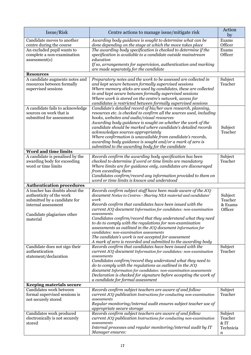| Issue/Risk                                                                                                        | Centre actions to manage issue/mitigate risk                                                                                                                                                                                                                                                                                                                                                                                                                                                                                               | Action<br>by                                 |
|-------------------------------------------------------------------------------------------------------------------|--------------------------------------------------------------------------------------------------------------------------------------------------------------------------------------------------------------------------------------------------------------------------------------------------------------------------------------------------------------------------------------------------------------------------------------------------------------------------------------------------------------------------------------------|----------------------------------------------|
| Candidate moves to another<br>centre during the course                                                            | Awarding body guidance is sought to determine what can be<br>done depending on the stage at which the move takes place                                                                                                                                                                                                                                                                                                                                                                                                                     | Exams<br>Officer                             |
| An excluded pupil wants to<br>complete a non-examination<br>assessment(s)                                         | The awarding body specification is checked to determine if the<br>specification is available to a candidate outside mainstream<br>education<br>If so, arrangements for supervision, authentication and marking<br>are made separately for the candidate                                                                                                                                                                                                                                                                                    | Exams<br>Officer                             |
| <b>Resources</b>                                                                                                  |                                                                                                                                                                                                                                                                                                                                                                                                                                                                                                                                            |                                              |
| A candidate augments notes and<br>resources between formally<br>supervised sessions                               | Preparatory notes and the work to be assessed are collected in<br>and kept secure between formally supervised sessions<br>Where memory sticks are used by candidates, these are collected<br>in and kept secure between formally supervised sessions<br>Where work is stored on the centre's network, access for<br>candidates is restricted between formally supervised sessions                                                                                                                                                          | Subject<br>Teacher                           |
| A candidate fails to acknowledge<br>sources on work that is<br>submitted for assessment                           | Candidate's detailed record of his/her own research, planning,<br>resources etc. is checked to confirm all the sources used, including<br>books, websites and audio/visual resources<br>Awarding body guidance is sought on whether the work of the<br>candidate should be marked where candidate's detailed records<br>acknowledges sources appropriately<br>Where confirmation is unavailable from candidate's records,<br>awarding body guidance is sought and/or a mark of zero is<br>submitted to the awarding body for the candidate | Subject<br>Teacher                           |
| <b>Word and time limits</b>                                                                                       |                                                                                                                                                                                                                                                                                                                                                                                                                                                                                                                                            |                                              |
| A candidate is penalised by the<br>awarding body for exceeding<br>word or time limits                             | Records confirm the awarding body specification has been<br>checked to determine if word or time limits are mandatory<br>Where limits are for guidance only, candidates are discouraged<br>from exceeding them<br>Candidates confirm/record any information provided to them on<br>word or time limits is known and understood                                                                                                                                                                                                             | Subject<br>Teacher                           |
| <b>Authentication procedures</b>                                                                                  |                                                                                                                                                                                                                                                                                                                                                                                                                                                                                                                                            |                                              |
| A teacher has doubts about the<br>authenticity of the work<br>submitted by a candidate for<br>internal assessment | Records confirm subject staff have been made aware of the JCQ<br>document Notice to Centres - Sharing NEA material and candidates'<br>work<br>Records confirm that candidates have been issued with the<br>current JCQ document Information for candidates: non-examination                                                                                                                                                                                                                                                                | Subject<br>Teacher<br>& Exams<br>Officer     |
| Candidate plagiarises other<br>material                                                                           | assessments<br>Candidates confirm/record that they understand what they need<br>to do to comply with the regulations for non-examination<br>assessments as outlined in the JCQ document Information for<br>candidates: non-examination assessments<br>The candidate's work is not accepted for assessment<br>A mark of zero is recorded and submitted to the awarding body                                                                                                                                                                 |                                              |
| Candidate does not sign their<br>authentication<br>statement/declaration                                          | Records confirm that candidates have been issued with the<br>current JCQ document Information for candidates: non-examination<br>assessments<br>Candidates confirm/record they understand what they need to<br>do to comply with the regulations as outlined in the JCQ<br>document Information for candidates: non-examination assessments<br>Declaration is checked for signature before accepting the work of<br>a candidate for formal assessment                                                                                      | Subject<br>Teacher                           |
| <b>Keeping materials secure</b>                                                                                   |                                                                                                                                                                                                                                                                                                                                                                                                                                                                                                                                            |                                              |
| Candidates work between<br>formal supervised sessions is<br>not securely stored                                   | Records confirm subject teachers are aware of and follow<br>current JCQ publication Instructions for conducting non-examination<br>assessments<br>Regular monitoring/internal audit ensures subject teacher use of<br>appropriate secure storage                                                                                                                                                                                                                                                                                           | Subject<br>Teacher                           |
| Candidates work produced<br>electronically is not securely<br>stored                                              | Records confirm subject teachers are aware of and follow<br>current JCQ publication Instructions for conducting non-examination<br>assessments<br>Internal processes and regular monitoring/internal audit by IT<br>Manager ensures:                                                                                                                                                                                                                                                                                                       | Subject<br>Teacher<br>& IT<br>Technicia<br>n |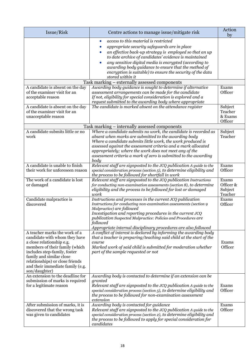| Issue/Risk                                                                                                                                                                                                                                                                        | Centre actions to manage issue/mitigate risk                                                                                                                                                                                                                                                                                                                                                                                                        | Action<br>by                             |
|-----------------------------------------------------------------------------------------------------------------------------------------------------------------------------------------------------------------------------------------------------------------------------------|-----------------------------------------------------------------------------------------------------------------------------------------------------------------------------------------------------------------------------------------------------------------------------------------------------------------------------------------------------------------------------------------------------------------------------------------------------|------------------------------------------|
|                                                                                                                                                                                                                                                                                   | access to this material is restricted<br>$\bullet$<br>appropriate security safeguards are in place<br>$\bullet$<br>an effective back-up strategy is employed so that an up<br>to date archive of candidates' evidence is maintained<br>any sensitive digital media is encrypted (according to<br>$\bullet$<br>awarding body guidance to ensure that the method of<br>encryption is suitable) to ensure the security of the data<br>stored within it |                                          |
|                                                                                                                                                                                                                                                                                   | Task marking – externally assessed components                                                                                                                                                                                                                                                                                                                                                                                                       |                                          |
| A candidate is absent on the day<br>of the examiner visit for an<br>acceptable reason                                                                                                                                                                                             | Awarding body guidance is sought to determine if alternative<br>assessment arrangements can be made for the candidate<br>If not, eligibility for special consideration is explored and a<br>request submitted to the awarding body where appropriate                                                                                                                                                                                                | Exams<br>Officer                         |
| A candidate is absent on the day<br>of the examiner visit for an<br>unacceptable reason                                                                                                                                                                                           | The candidate is marked absent on the attendance register                                                                                                                                                                                                                                                                                                                                                                                           | Subject<br>Teacher<br>& Exams<br>Officer |
|                                                                                                                                                                                                                                                                                   | Task marking – internally assessed components                                                                                                                                                                                                                                                                                                                                                                                                       |                                          |
| A candidate submits little or no<br>work                                                                                                                                                                                                                                          | Where a candidate submits no work, the candidate is recorded as<br>absent when marks are submitted to the awarding body<br>Where a candidate submits little work, the work produced is<br>assessed against the assessment criteria and a mark allocated<br>appropriately; where the work does not meet any of the<br>assessment criteria a mark of zero is submitted to the awarding<br>body                                                        | Subject<br>Teacher                       |
| A candidate is unable to finish<br>their work for unforeseen reason                                                                                                                                                                                                               | Relevant staff are signposted to the JCQ publication A guide to the<br>special consideration process (section 5), to determine eligibility and<br>the process to be followed for shortfall in work                                                                                                                                                                                                                                                  | Exams<br>Officer                         |
| The work of a candidate is lost<br>or damaged                                                                                                                                                                                                                                     | Relevant staff are signposted to the JCQ publication Instructions<br>for conducting non-examination assessments (section 8), to determine<br>eligibility and the process to be followed for lost or damaged<br>work                                                                                                                                                                                                                                 | Exams<br>Officer &<br>Subject<br>Teacher |
| Candidate malpractice is<br>discovered                                                                                                                                                                                                                                            | Instructions and processes in the current JCQ publication<br>Instructions for conducting non-examination assessments (section 9<br>Malpractice) are followed<br>Investigation and reporting procedures in the current JCQ<br>publication Suspected Malpractice: Policies and Procedures are<br>followed<br>Appropriate internal disciplinary procedures are also followed                                                                           | Exams<br>Officer                         |
| A teacher marks the work of a<br>candidate with whom they have<br>a close relationship e.g.<br>members of their family (which<br>includes step-family, foster<br>family and similar close<br>relationships) or close friends<br>and their immediate family (e.g.<br>son/daughter) | A conflict of interest is declared by informing the awarding body<br>that a teacher is preparing/teaching said child at the start of the<br>course<br>Marked work of said child is submitted for moderation whether<br>part of the sample requested or not                                                                                                                                                                                          | Exams<br>Officer                         |
| An extension to the deadline for<br>submission of marks is required<br>for a legitimate reason                                                                                                                                                                                    | Awarding body is contacted to determine if an extension can be<br>granted<br>Relevant staff are signposted to the JCQ publication A guide to the<br>special consideration process (section 5), to determine eligibility and<br>the process to be followed for non-examination assessment<br>extension                                                                                                                                               | Exams<br>Officer                         |
| After submission of marks, it is<br>discovered that the wrong task<br>was given to candidates                                                                                                                                                                                     | Awarding body is contacted for guidance<br>Relevant staff are signposted to the JCQ publication A guide to the<br>special consideration process (section 2), to determine eligibility and<br>the process to be followed to apply for special consideration for<br>candidates                                                                                                                                                                        | Exams<br>Officer                         |